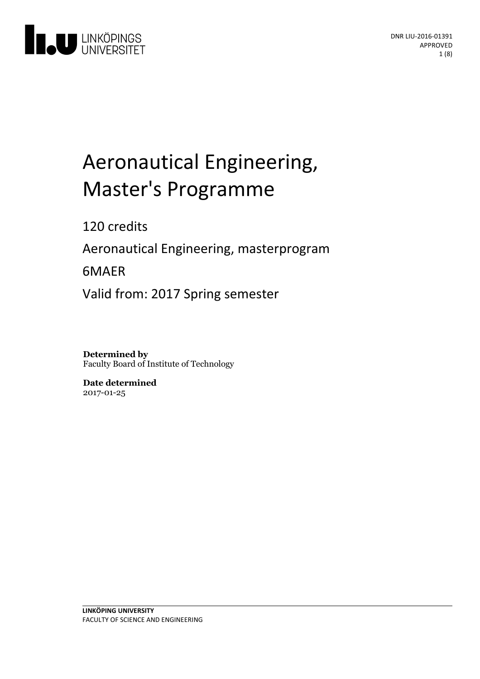

# Aeronautical Engineering, Master's Programme

120 credits

Aeronautical Engineering, masterprogram

6MAER

Valid from: 2017 Spring semester

**Determined by** Faculty Board of Institute of Technology

**Date determined** 2017-01-25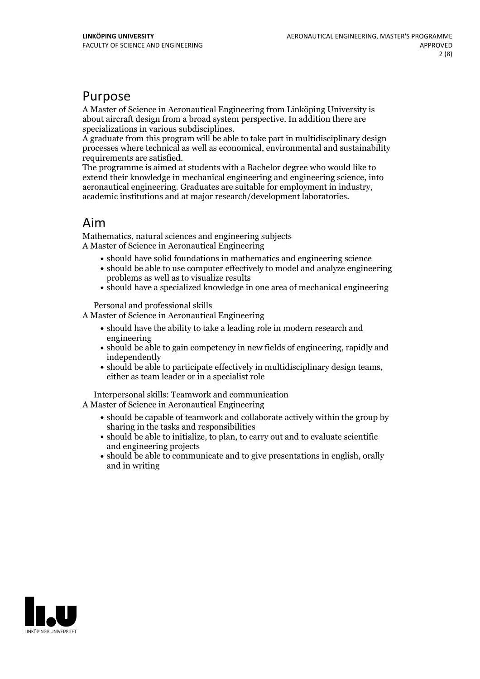## Purpose

A Master of Science in Aeronautical Engineering from Linköping University is about aircraft design from a broad system perspective. In addition there are

A graduate from this program will be able to take part in multidisciplinary design processes where technical as well as economical, environmental and sustainability requirements are satisfied. The programme is aimed at students with <sup>a</sup> Bachelor degree who would like to

extend their knowledge in mechanical engineering and engineering science, into aeronautical engineering. Graduates are suitable for employment in industry, academic institutions and at major research/development laboratories.

# Aim

Mathematics, natural sciences and engineering subjects A Master of Science in Aeronautical Engineering

- should have solid foundations in mathematics and engineering science
- should be able to use computer effectively to model and analyze engineering problems as well as to visualize results
- should have a specialized knowledge in one area of mechanical engineering

Personal and professional skills

A Master of Science in Aeronautical Engineering

- should have the ability to take a leading role in modern research and engineering
- should be able to gain competency in new fields of engineering, rapidly and independently
- should be able to participate effectively in multidisciplinary design teams, either as team leader or in <sup>a</sup> specialist role

Interpersonal skills: Teamwork and communication A Master of Science in Aeronautical Engineering

- should be capable of teamwork and collaborate actively within the group by sharing in the tasks and responsibilities
- should be able to initialize, to plan, to carry out and to evaluate scientific and engineering projects
- should be able to communicate and to give presentations in english, orally and in writing

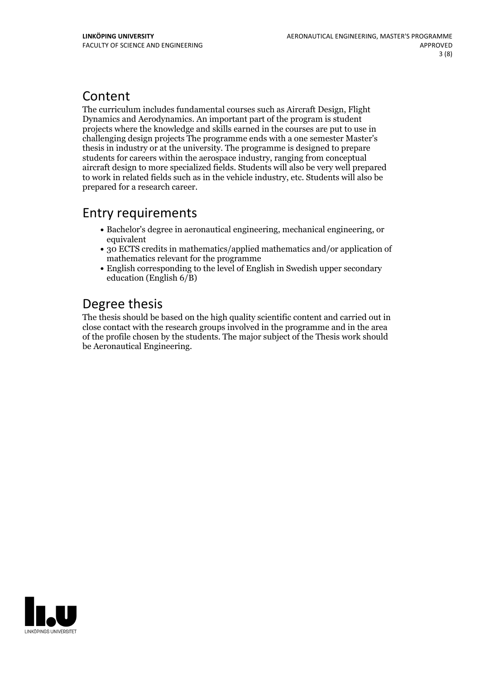# Content

The curriculum includes fundamental courses such as Aircraft Design, Flight Dynamics and Aerodynamics. An important part of the program is student projects where the knowledge and skills earned in the courses are put to use in challenging design projects The programme ends with a one semester Master's thesis in industry or at the university. The programme is designed to prepare students for careers within the aerospace industry, ranging from conceptual aircraft design to more specialized fields. Students will also be very well prepared to work in related fields such as in the vehicle industry, etc. Students will also be prepared for a research career.

# Entry requirements

- Bachelor's degree in aeronautical engineering, mechanical engineering, or equivalent
- 30 ECTS credits in mathematics/applied mathematics and/or application of mathematics relevant for the programme
- English corresponding to the level of English in Swedish upper secondary education (English 6/B)

# Degree thesis

The thesis should be based on the high quality scientific content and carried outin close contact with the research groups involved in the programme and in the area of the profile chosen by the students. The major subject of the Thesis work should be Aeronautical Engineering.

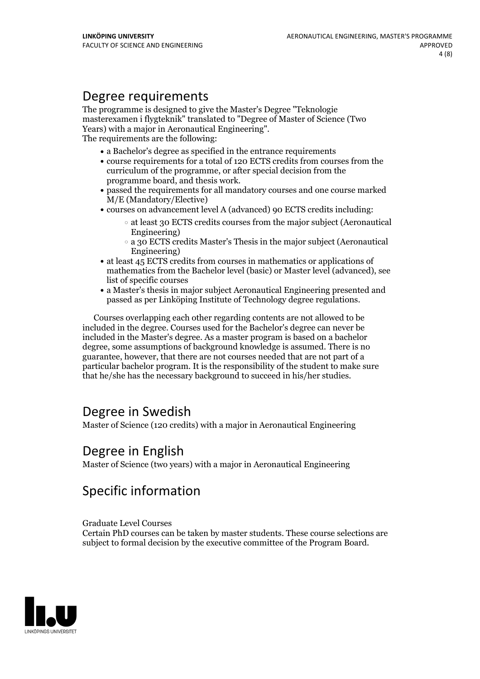# Degree requirements

The programme is designed to give the Master's Degree "Teknologie masterexamen i flygteknik" translated to "Degree of Master of Science (Two Years) with <sup>a</sup> major in Aeronautical Engineering". The requirements are the following:

- a Bachelor's degree as specified in the entrance requirements
- course requirements for a total of 120 ECTS credits from courses from the curriculum of the programme, or after special decision from the
- programme board, and thesis work.<br>• passed the requirements for all mandatory courses and one course marked M/E (Mandatory/Elective)
- courses on advancement level A (advanced) 90 ECTS credits including:
	- at least 30 ECTS credits courses from the major subject (Aeronautical Engineering)
	- a 30 ECTS credits Master's Thesis in the major subject (Aeronautical Engineering)
- at least 45 ECTS credits from courses in mathematics or applications of mathematics from the Bachelor level (basic) or Master level (advanced), see list of specific courses
- a Master's thesis in major subject Aeronautical Engineering presented and passed as per Linköping Institute of Technology degree regulations.

Courses overlapping each other regarding contents are not allowed to be included in the degree. Courses used for the Bachelor's degree can never be included in the Master's degree. As a master program is based on a bachelor degree, some assumptions of background knowledge is assumed. There is no guarantee, however, that there are not courses needed that are not part of a particular bachelor program. It is the responsibility of the student to make sure that he/she has the necessary background to succeed in his/her studies.

# Degree in Swedish

Master of Science (120 credits) with a major in Aeronautical Engineering

# Degree in English

Master of Science (two years) with a major in Aeronautical Engineering

# Specific information

#### Graduate Level Courses

Certain PhD courses can be taken by master students. These course selections are subject to formal decision by the executive committee of the Program Board.

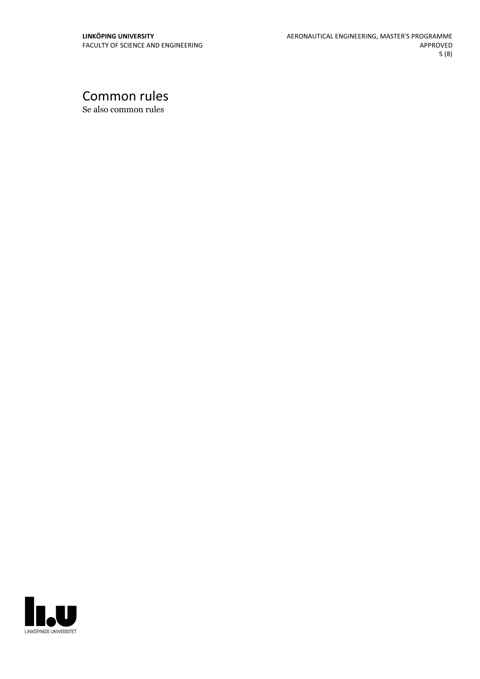# Common rules

Se also common rules

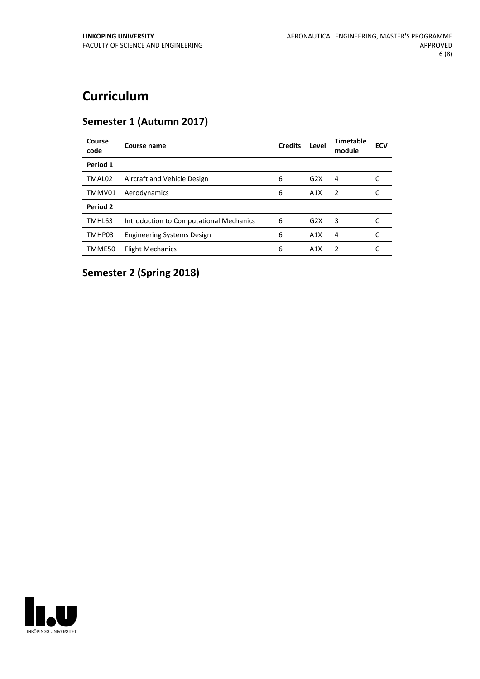# **Curriculum**

### **Semester 1 (Autumn 2017)**

| Course<br>code | Course name                             | <b>Credits</b> | Level | Timetable<br>module | <b>ECV</b> |
|----------------|-----------------------------------------|----------------|-------|---------------------|------------|
| Period 1       |                                         |                |       |                     |            |
| TMAL02         | Aircraft and Vehicle Design             | 6              | G2X   | 4                   |            |
| TMMV01         | Aerodynamics                            | 6              | A1X   | $\mathcal{P}$       |            |
| Period 2       |                                         |                |       |                     |            |
| TMHL63         | Introduction to Computational Mechanics | 6              | G2X   | 3                   |            |
| TMHP03         | <b>Engineering Systems Design</b>       | 6              | A1X   | 4                   |            |
| TMME50         | <b>Flight Mechanics</b>                 | 6              | A1X   | $\mathcal{P}$       |            |

# **Semester 2 (Spring 2018)**

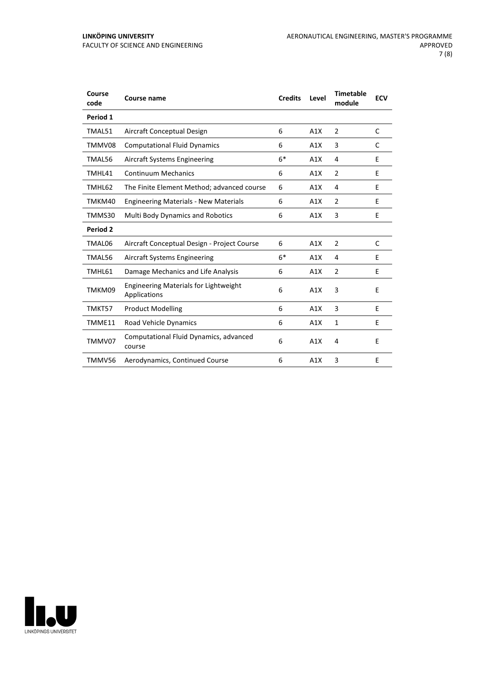| Course<br>code | <b>Course name</b>                                           | <b>Credits</b> | Level | <b>Timetable</b><br>module | <b>ECV</b> |
|----------------|--------------------------------------------------------------|----------------|-------|----------------------------|------------|
| Period 1       |                                                              |                |       |                            |            |
| TMAL51         | Aircraft Conceptual Design                                   | 6              | A1X   | 2                          | C          |
| TMMV08         | <b>Computational Fluid Dynamics</b>                          | 6              | A1X   | 3                          | C          |
| TMAL56         | Aircraft Systems Engineering                                 | $6*$           | A1X   | 4                          | E          |
| TMHL41         | <b>Continuum Mechanics</b>                                   | 6              | A1X   | 2                          | E          |
| TMHL62         | The Finite Element Method; advanced course                   | 6              | A1X   | 4                          | E          |
| TMKM40         | <b>Engineering Materials - New Materials</b>                 | 6              | A1X   | 2                          | E          |
| TMMS30         | <b>Multi Body Dynamics and Robotics</b>                      | 6              | A1X   | 3                          | E          |
| Period 2       |                                                              |                |       |                            |            |
| TMAL06         | Aircraft Conceptual Design - Project Course                  | 6              | A1X   | 2                          | C          |
| TMAL56         | Aircraft Systems Engineering                                 | $6*$           | A1X   | 4                          | E          |
| TMHL61         | Damage Mechanics and Life Analysis                           | 6              | A1X   | $\overline{2}$             | E          |
| TMKM09         | <b>Engineering Materials for Lightweight</b><br>Applications | 6              | A1X   | 3                          | E          |
| TMKT57         | <b>Product Modelling</b>                                     | 6              | A1X   | 3                          | E          |
| TMME11         | Road Vehicle Dynamics                                        | 6              | A1X   | $\mathbf{1}$               | E          |
| TMMV07         | Computational Fluid Dynamics, advanced<br>course             | 6              | A1X   | 4                          | E          |
| TMMV56         | Aerodynamics, Continued Course                               | 6              | A1X   | $\overline{3}$             | E          |